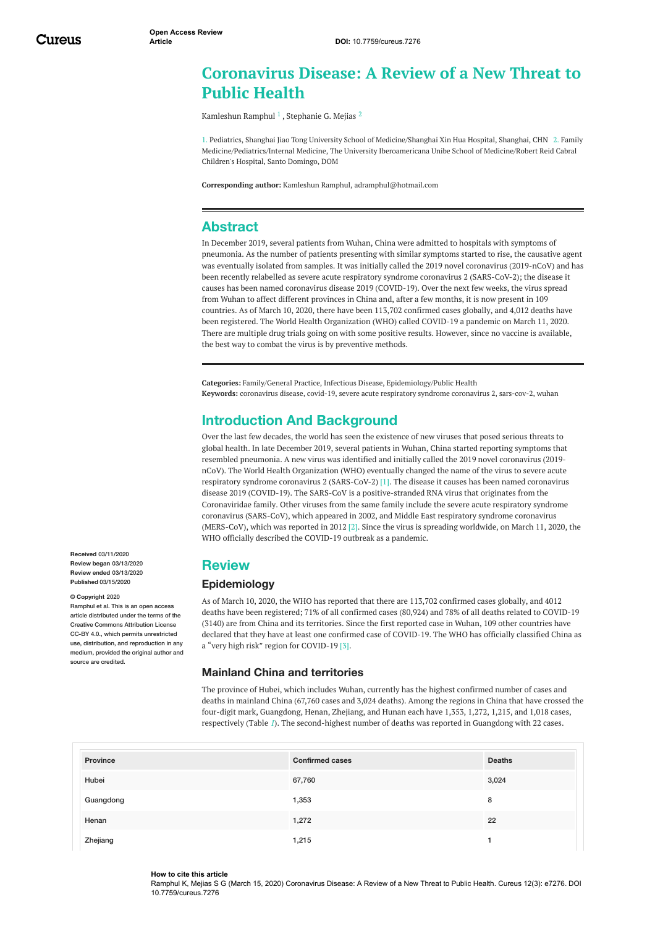# **Coronavirus Disease: A Review of a New Threat to Public Health**

[Kamleshun](https://www.cureus.com/users/37952-kamleshun-ramphul) Ramphul  $^1$  , [Stephanie](https://www.cureus.com/users/58293-stephanie-g-mejias) G. Mejias  $^2$ 

1. Pediatrics, Shanghai Jiao Tong University School of Medicine/Shanghai Xin Hua Hospital, Shanghai, CHN 2. Family Medicine/Pediatrics/Internal Medicine, The University Iberoamericana Unibe School of Medicine/Robert Reid Cabral Children's Hospital, Santo Domingo, DOM

**Corresponding author:** Kamleshun Ramphul, adramphul@hotmail.com

# **Abstract**

In December 2019, several patients from Wuhan, China were admitted to hospitals with symptoms of pneumonia. As the number of patients presenting with similar symptoms started to rise, the causative agent was eventually isolated from samples. It was initially called the 2019 novel coronavirus (2019-nCoV) and has been recently relabelled as severe acute respiratory syndrome coronavirus 2 (SARS-CoV-2); the disease it causes has been named coronavirus disease 2019 (COVID-19). Over the next few weeks, the virus spread from Wuhan to affect different provinces in China and, after a few months, it is now present in 109 countries. As of March 10, 2020, there have been 113,702 confirmed cases globally, and 4,012 deaths have been registered. The World Health Organization (WHO) called COVID-19 a pandemic on March 11, 2020. There are multiple drug trials going on with some positive results. However, since no vaccine is available, the best way to combat the virus is by preventive methods.

**Categories:** Family/General Practice, Infectious Disease, Epidemiology/Public Health **Keywords:** coronavirus disease, covid-19, severe acute respiratory syndrome coronavirus 2, sars-cov-2, wuhan

# **Introduction And Background**

Over the last few decades, the world has seen the existence of new viruses that posed serious threats to global health. In late December 2019, several patients in Wuhan, China started reporting symptoms that resembled pneumonia. A new virus was identified and initially called the 2019 novel coronavirus (2019 nCoV). The World Health Organization (WHO) eventually changed the name of the virus to severe acute respiratory syndrome coronavirus 2 (SARS-CoV-2) [1]. The disease it causes has been named coronavirus disease 2019 (COVID-19). The SARS-CoV is a positive-stranded RNA virus that originates from the Coronaviridae family. Other viruses from the same family include the severe acute respiratory syndrome coronavirus (SARS-CoV), which appeared in 2002, and Middle East respiratory syndrome coronavirus (MERS-CoV), which was reported in 2012 [2]. Since the virus is spreading worldwide, on March 11, 2020, the WHO officially described the COVID-19 outbreak as a pandemic.

# **Review**

## **Epidemiology**

As of March 10, 2020, the WHO has reported that there are 113,702 confirmed cases globally, and 4012 deaths have been registered; 71% of all confirmed cases (80,924) and 78% of all deaths related to COVID-19 (3140) are from China and its territories. Since the first reported case in Wuhan, 109 other countries have declared that they have at least one confirmed case of COVID-19. The WHO has officially classified China as a "very high risk" region for COVID-19 [3].

### **Mainland China and territories**

The province of Hubei, which includes Wuhan, currently has the highest confirmed number of cases and deaths in mainland China (67,760 cases and 3,024 deaths). Among the regions in China that have crossed the four-digit mark, Guangdong, Henan, Zhejiang, and Hunan each have 1,353, 1,272, 1,215, and 1,018 cases, respectively (Table *[1](#page-1-0)*). The second-highest number of deaths was reported in Guangdong with 22 cases.

| Province  | <b>Confirmed cases</b> | <b>Deaths</b> |
|-----------|------------------------|---------------|
| Hubei     | 67,760                 | 3,024         |
| Guangdong | 1,353                  | 8             |
| Henan     | 1,272                  | 22            |
| Zhejiang  | 1,215                  |               |

**Received** 03/11/2020 **Review began** 03/13/2020 **Review ended** 03/13/2020 **Published** 03/15/2020

#### **© Copyright** 2020

Ramphul et al. This is an open access article distributed under the terms of the Creative Commons Attribution License CC-BY 4.0., which permits unrestricted use, distribution, and reproduction in any medium, provided the original author and source are credited

#### **How to cite this article**

Ramphul K, Mejias S G (March 15, 2020) Coronavirus Disease: A Review of a New Threat to Public Health. Cureus 12(3): e7276. DOI 10.7759/cureus.7276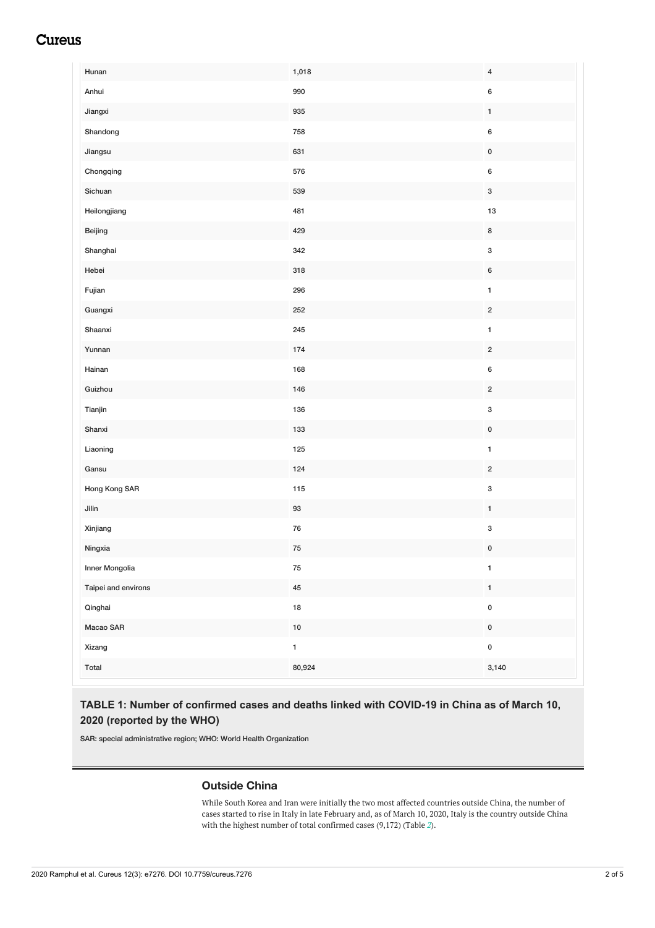# <span id="page-1-0"></span>**Cureus**

| Hunan               | 1,018       | $\overline{4}$            |
|---------------------|-------------|---------------------------|
| Anhui               | 990         | $\bf 6$                   |
| Jiangxi             | 935         | $\mathbf{1}$              |
| Shandong            | 758         | $\boldsymbol{6}$          |
| Jiangsu             | 631         | $\pmb{0}$                 |
| Chongqing           | 576         | $\boldsymbol{6}$          |
| Sichuan             | 539         | $\ensuremath{\mathsf{3}}$ |
| Heilongjiang        | 481         | $13\,$                    |
| Beijing             | 429         | $\bf 8$                   |
| Shanghai            | 342         | $\ensuremath{\mathsf{3}}$ |
| Hebei               | 318         | $\,6\,$                   |
| Fujian              | 296         | $\mathbf{1}$              |
| Guangxi             | 252         | $\sqrt{2}$                |
| Shaanxi             | 245         | $\mathbf{1}$              |
| Yunnan              | 174         | $\overline{2}$            |
| Hainan              | 168         | $\boldsymbol{6}$          |
| Guizhou             | 146         | $\overline{2}$            |
| Tianjin             | 136         | $\ensuremath{\mathsf{3}}$ |
| Shanxi              | 133         | $\pmb{0}$                 |
| Liaoning            | 125         | $\mathbf 1$               |
| Gansu               | 124         | $\overline{2}$            |
| Hong Kong SAR       | 115         | $\ensuremath{\mathsf{3}}$ |
| Jilin               | $93\,$      | $\mathbf{1}$              |
| Xinjiang            | ${\bf 76}$  | $\ensuremath{\mathsf{3}}$ |
| Ningxia             | ${\bf 75}$  | $\pmb{0}$                 |
| Inner Mongolia      | ${\bf 75}$  | $\mathbf 1$               |
| Taipei and environs | ${\bf 45}$  | $\mathbf 1$               |
| Qinghai             | ${\bf 18}$  | $\mathbf 0$               |
| Macao SAR           | $10\,$      | $\pmb{0}$                 |
| Xizang              | $\mathbf 1$ | $\pmb{0}$                 |
| Total               | 80,924      | 3,140                     |

## **TABLE 1: Number of confirmed cases and deaths linked with COVID-19 in China as of March 10, 2020 (reported by the WHO)**

SAR: special administrative region; WHO: World Health Organization

## **Outside China**

While South Korea and Iran were initially the two most affected countries outside China, the number of cases started to rise in Italy in late February and, as of March 10, 2020, Italy is the country outside China with the highest number of total confirmed cases (9,172) (Table *[2](#page-2-0)*).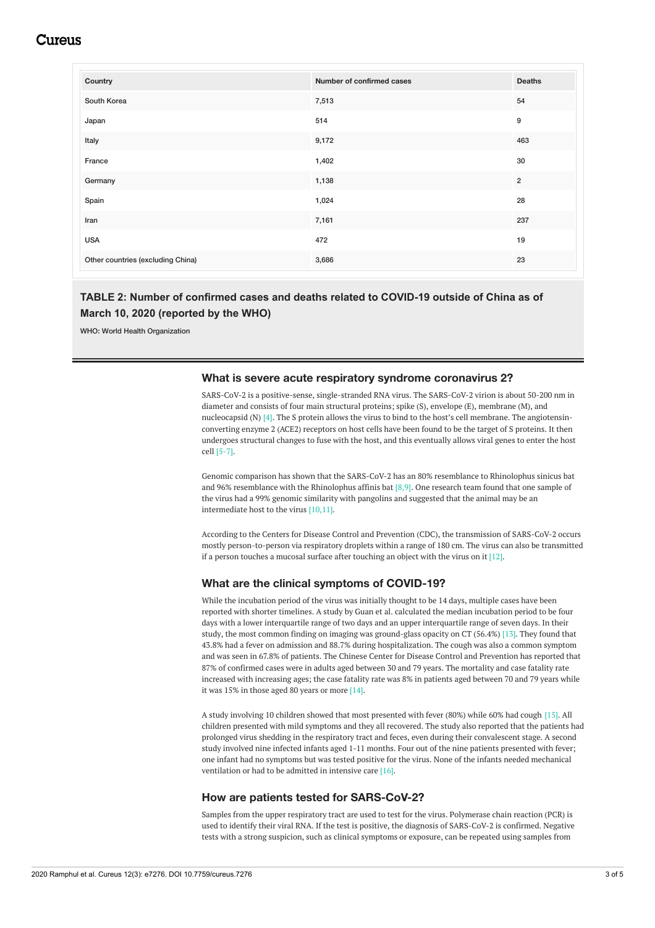# Cureus

<span id="page-2-0"></span>

| Number of confirmed cases | <b>Deaths</b>  |
|---------------------------|----------------|
| 7,513                     | 54             |
| 514                       | 9              |
| 9,172                     | 463            |
| 1,402                     | 30             |
| 1,138                     | $\overline{2}$ |
| 1,024                     | 28             |
| 7,161                     | 237            |
| 472                       | 19             |
| 3,686                     | 23             |
|                           |                |

## **TABLE 2: Number of confirmed cases and deaths related to COVID-19 outside of China as of March 10, 2020 (reported by the WHO)**

WHO: World Health Organization

#### **What is severe acute respiratory syndrome coronavirus 2?**

SARS-CoV-2 is a positive-sense, single-stranded RNA virus. The SARS-CoV-2 virion is about 50-200 nm in diameter and consists of four main structural proteins; spike (S), envelope (E), membrane (M), and nucleocapsid (N)  $[4]$ . The S protein allows the virus to bind to the host's cell membrane. The angiotensinconverting enzyme 2 (ACE2) receptors on host cells have been found to be the target of S proteins. It then undergoes structural changes to fuse with the host, and this eventually allows viral genes to enter the host cell [5-7].

Genomic comparison has shown that the SARS-CoV-2 has an 80% resemblance to Rhinolophus sinicus bat and 96% resemblance with the Rhinolophus affinis bat  $[8,9]$ . One research team found that one sample of the virus had a 99% genomic similarity with pangolins and suggested that the animal may be an intermediate host to the virus [10,11].

According to the Centers for Disease Control and Prevention (CDC), the transmission of SARS-CoV-2 occurs mostly person-to-person via respiratory droplets within a range of 180 cm. The virus can also be transmitted if a person touches a mucosal surface after touching an object with the virus on it  $[12]$ .

### **What are the clinical symptoms of COVID-19?**

While the incubation period of the virus was initially thought to be 14 days, multiple cases have been reported with shorter timelines. A study by Guan et al. calculated the median incubation period to be four days with a lower interquartile range of two days and an upper interquartile range of seven days. In their study, the most common finding on imaging was ground-glass opacity on CT (56.4%) [13]. They found that 43.8% had a fever on admission and 88.7% during hospitalization. The cough was also a common symptom and was seen in 67.8% of patients. The Chinese Center for Disease Control and Prevention has reported that 87% of confirmed cases were in adults aged between 30 and 79 years. The mortality and case fatality rate increased with increasing ages; the case fatality rate was 8% in patients aged between 70 and 79 years while it was 15% in those aged 80 years or more [14].

A study involving 10 children showed that most presented with fever (80%) while 60% had cough [15]. All children presented with mild symptoms and they all recovered. The study also reported that the patients had prolonged virus shedding in the respiratory tract and feces, even during their convalescent stage. A second study involved nine infected infants aged 1-11 months. Four out of the nine patients presented with fever; one infant had no symptoms but was tested positive for the virus. None of the infants needed mechanical ventilation or had to be admitted in intensive care [16].

#### **How are patients tested for SARS-CoV-2?**

Samples from the upper respiratory tract are used to test for the virus. Polymerase chain reaction (PCR) is used to identify their viral RNA. If the test is positive, the diagnosis of SARS-CoV-2 is confirmed. Negative tests with a strong suspicion, such as clinical symptoms or exposure, can be repeated using samples from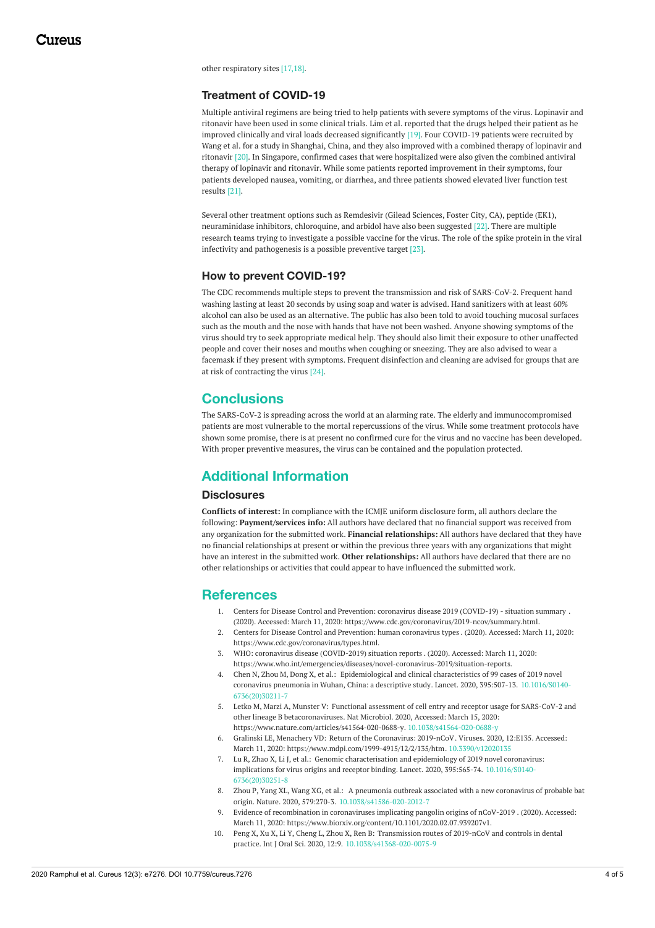other respiratory sites [17,18].

## **Treatment of COVID-19**

Multiple antiviral regimens are being tried to help patients with severe symptoms of the virus. Lopinavir and ritonavir have been used in some clinical trials. Lim et al. reported that the drugs helped their patient as he improved clinically and viral loads decreased significantly [19]. Four COVID-19 patients were recruited by Wang et al. for a study in Shanghai, China, and they also improved with a combined therapy of lopinavir and ritonavir [20]. In Singapore, confirmed cases that were hospitalized were also given the combined antiviral therapy of lopinavir and ritonavir. While some patients reported improvement in their symptoms, four patients developed nausea, vomiting, or diarrhea, and three patients showed elevated liver function test results [21].

Several other treatment options such as Remdesivir (Gilead Sciences, Foster City, CA), peptide (EK1), neuraminidase inhibitors, chloroquine, and arbidol have also been suggested [22]. There are multiple research teams trying to investigate a possible vaccine for the virus. The role of the spike protein in the viral infectivity and pathogenesis is a possible preventive target [23].

## **How to prevent COVID-19?**

The CDC recommends multiple steps to prevent the transmission and risk of SARS-CoV-2. Frequent hand washing lasting at least 20 seconds by using soap and water is advised. Hand sanitizers with at least 60% alcohol can also be used as an alternative. The public has also been told to avoid touching mucosal surfaces such as the mouth and the nose with hands that have not been washed. Anyone showing symptoms of the virus should try to seek appropriate medical help. They should also limit their exposure to other unaffected people and cover their noses and mouths when coughing or sneezing. They are also advised to wear a facemask if they present with symptoms. Frequent disinfection and cleaning are advised for groups that are at risk of contracting the virus [24].

## **Conclusions**

The SARS-CoV-2 is spreading across the world at an alarming rate. The elderly and immunocompromised patients are most vulnerable to the mortal repercussions of the virus. While some treatment protocols have shown some promise, there is at present no confirmed cure for the virus and no vaccine has been developed. With proper preventive measures, the virus can be contained and the population protected.

# **Additional Information**

### **Disclosures**

**Conflicts of interest:** In compliance with the ICMJE uniform disclosure form, all authors declare the following: **Payment/services info:** All authors have declared that no financial support was received from any organization for the submitted work. **Financial relationships:** All authors have declared that they have no financial relationships at present or within the previous three years with any organizations that might have an interest in the submitted work. **Other relationships:** All authors have declared that there are no other relationships or activities that could appear to have influenced the submitted work.

## **References**

- 1. Centers for Disease Control and Prevention: coronavirus disease 2019 [\(COVID-19\)](https://www.cdc.gov/coronavirus/2019-ncov/summary.html) situation summary . (2020). Accessed: March 11, 2020: <https://www.cdc.gov/coronavirus/2019-ncov/summary.html>.
- 2. Centers for Disease Control and Prevention: human [coronavirus](https://www.cdc.gov/coronavirus/types.html) types . (2020). Accessed: March 11, 2020: <https://www.cdc.gov/coronavirus/types.html>.
- 3. WHO: coronavirus disease [\(COVID-2019\)](https://www.who.int/emergencies/diseases/novel-coronavirus-2019/situation-reports) situation reports . (2020). Accessed: March 11, 2020: <https://www.who.int/emergencies/diseases/novel-coronavirus-2019/situation-reports>.
- 4. Chen N, Zhou M, Dong X, et al.: [Epidemiological](https://dx.doi.org/10.1016/S0140-6736(20)30211-7) and clinical characteristics of 99 cases of 2019 novel coronavirus pneumonia in Wuhan, China: a descriptive study. Lancet. 2020, 395:507-13. 10.1016/S0140- [6736\(20\)30211-7](https://dx.doi.org/10.1016/S0140-6736(20)30211-7)
- 5. Letko M, Marzi A, Munster V: Functional assessment of cell entry and receptor usage for SARS-CoV-2 and other lineage B [betacoronaviruses.](https://www.nature.com/articles/s41564-020-0688-y) Nat Microbiol. 2020, Accessed: March 15, 2020: <https://www.nature.com/articles/s41564-020-0688-y>. [10.1038/s41564-020-0688-y](https://dx.doi.org/10.1038/s41564-020-0688-y)
- 6. Gralinski LE, Menachery VD: Return of the [Coronavirus:](https://www.mdpi.com/1999-4915/12/2/135/htm) 2019-nCoV. Viruses. 2020, 12:E135. Accessed: March 11, 2020: <https://www.mdpi.com/1999-4915/12/2/135/htm>. [10.3390/v12020135](https://dx.doi.org/10.3390/v12020135)
- 7. Lu R, Zhao X, Li J, et al.: Genomic [characterisation](https://dx.doi.org/10.1016/S0140-6736(20)30251-8) and epidemiology of 2019 novel coronavirus: implications for virus origins and receptor binding. Lancet. 2020, 395:565-74. 10.1016/S0140- [6736\(20\)30251-8](https://dx.doi.org/10.1016/S0140-6736(20)30251-8)
- 8. Zhou P, Yang XL, Wang XG, et al.: A pneumonia outbreak associated with a new coronavirus of probable bat origin. Nature. 2020, 579:270-3. [10.1038/s41586-020-2012-7](https://dx.doi.org/10.1038/s41586-020-2012-7)
- 9. Evidence of [recombination](https://www.biorxiv.org/content/10.1101/2020.02.07.939207v1) in coronaviruses implicating pangolin origins of nCoV-2019 . (2020). Accessed: March 11, 2020: <https://www.biorxiv.org/content/10.1101/2020.02.07.939207v1>.
- 10. Peng X, Xu X, Li Y, Cheng L, Zhou X, Ren B: Transmission routes of 2019-nCoV and controls in dental practice. Int J Oral Sci. 2020, 12:9. [10.1038/s41368-020-0075-9](https://dx.doi.org/10.1038/s41368-020-0075-9)